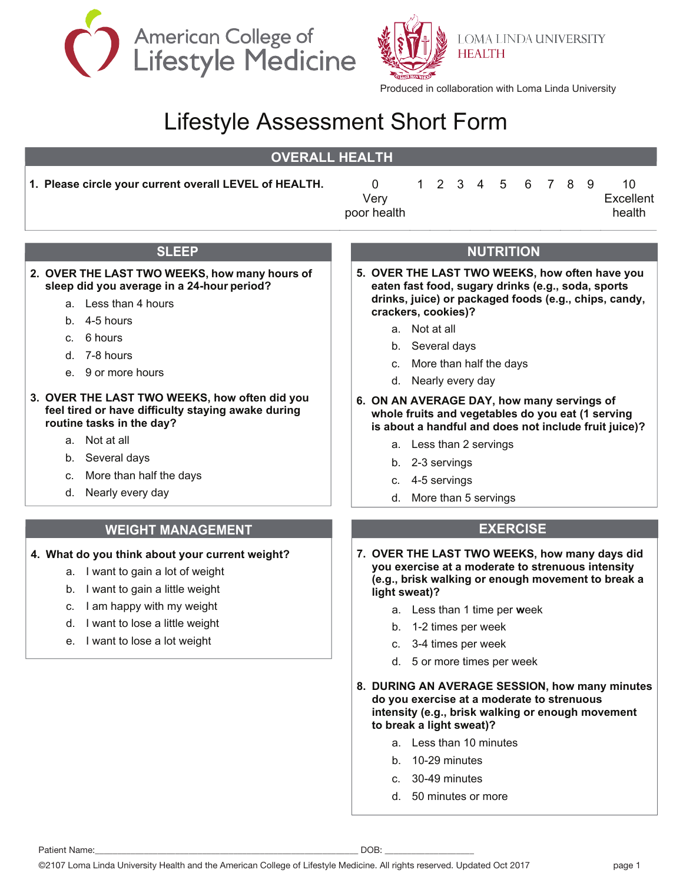



**LOMA LINDA UNIVERSITY HEALTH** 

Produced in collaboration with Loma Linda University

# Lifestyle Assessment Short Form

# **OVERALL HEALTH**

**1. Please circle your current overall LEVEL of HEALTH.** 0

| Very        |  |  | 1 2 3 4 5 6 7 8 9 |  | 10.<br>Excellent |
|-------------|--|--|-------------------|--|------------------|
| poor health |  |  |                   |  | health           |

# **SLEEP**

#### **2. OVER THE LAST TWO WEEKS, how many hours of sleep did you average in a 24-hour period?**

- a. Less than 4 hours
- b. 4-5 hours
- c. 6 hours
- d. 7-8 hours
- e. 9 or more hours

#### **3. OVER THE LAST TWO WEEKS, how often did you feel tired or have difficulty staying awake during routine tasks in the day?**

- a. Not at all
- b. Several days
- c. More than half the days
- d. Nearly every day

#### **WEIGHT MANAGEMENT**

#### **4. What do you think about your current weight?**

- a. I want to gain a lot of weight
- b. I want to gain a little weight
- c. I am happy with my weight
- d. I want to lose a little weight
- e. I want to lose a lot weight

### **NUTRITION**

- **5. OVER THE LAST TWO WEEKS, how often have you eaten fast food, sugary drinks (e.g., soda, sports drinks, juice) or packaged foods (e.g., chips, candy, crackers, cookies)?**
	- a. Not at all
	- b. Several days
	- c. More than half the days
	- d. Nearly every day
- **6. ON AN AVERAGE DAY, how many servings of whole fruits and vegetables do you eat (1 serving is about a handful and does not include fruit juice)?**
	- a. Less than 2 servings
	- b. 2-3 servings
	- c. 4-5 servings
	- d. More than 5 servings

## **EXERCISE**

- **7. OVER THE LAST TWO WEEKS, how many days did you exercise at a moderate to strenuous intensity (e.g., brisk walking or enough movement to break a light sweat)?**
	- a. Less than 1 time per **w**eek
	- b. 1-2 times per week
	- c. 3-4 times per week
	- d. 5 or more times per week
- **8. DURING AN AVERAGE SESSION, how many minutes do you exercise at a moderate to strenuous intensity (e.g., brisk walking or enough movement to break a light sweat)?**
	- a. Less than 10 minutes
	- b. 10-29 minutes
	- c. 30-49 minutes
	- d. 50 minutes or more

Patient Name:\_\_\_\_\_\_\_\_\_\_\_\_\_\_\_\_\_\_\_\_\_\_\_\_\_\_\_\_\_\_\_\_\_\_\_\_\_\_\_\_\_\_\_\_\_\_\_\_\_\_\_\_\_\_\_\_\_\_\_ DOB: \_\_\_\_\_\_\_\_\_\_\_\_\_\_\_\_\_\_\_\_